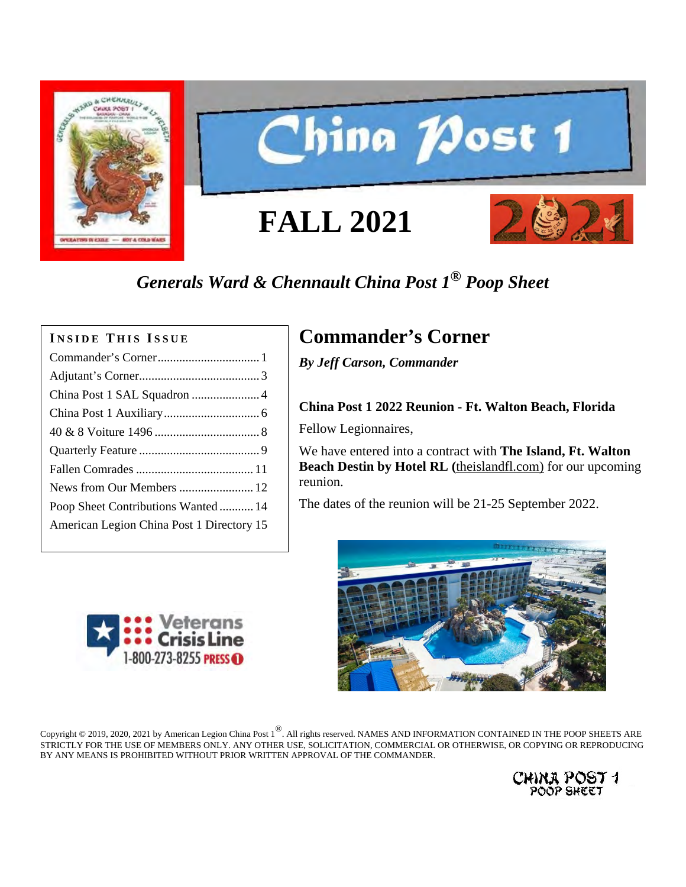



# **FALL 2021**



## *Generals Ward & Chennault China Post 1® Poop Sheet*

### **I NSIDE T HIS I SSUE**

| China Post 1 SAL Squadron  4              |
|-------------------------------------------|
|                                           |
|                                           |
|                                           |
|                                           |
| News from Our Members  12                 |
| Poop Sheet Contributions Wanted 14        |
| American Legion China Post 1 Directory 15 |
|                                           |

## **Commander's Corner**

*By Jeff Carson, Commander* 

## **China Post 1 2022 Reunion - Ft. Walton Beach, Florida**

Fellow Legionnaires,

We have entered into a contract with **The Island, Ft. Walton Beach Destin by Hotel RL (**[theislandfl.com\)](https://www.theislandfl.com/) for our upcoming reunion.

The dates of the reunion will be 21-25 September 2022.





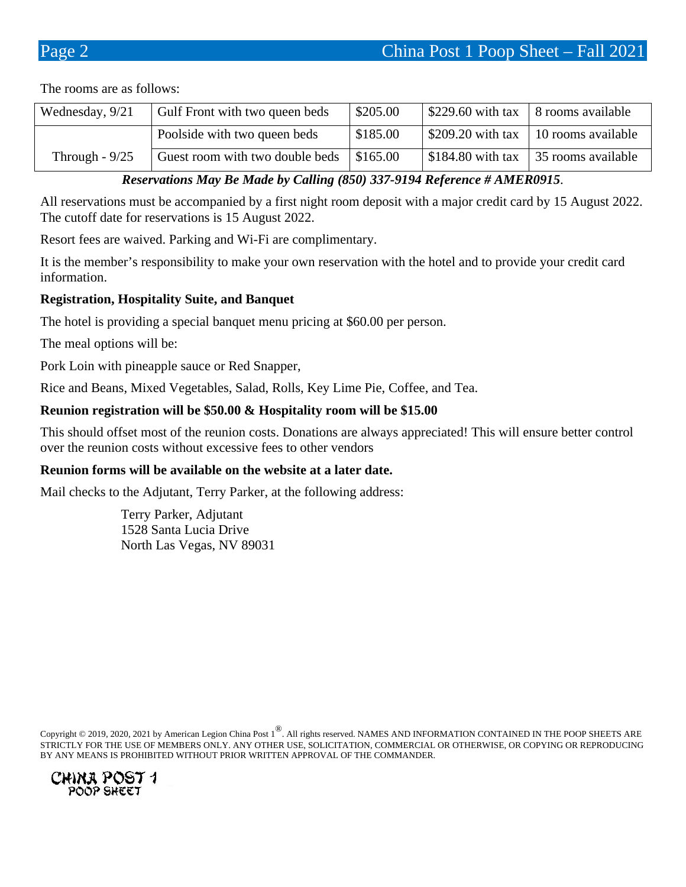The rooms are as follows:

| Wednesday, 9/21 | Gulf Front with two queen beds  | \$205.00 | $$229.60$ with tax | 8 rooms available  |
|-----------------|---------------------------------|----------|--------------------|--------------------|
|                 | Poolside with two queen beds    | \$185.00 | $$209.20$ with tax | 10 rooms available |
| Through $-9/25$ | Guest room with two double beds | \$165.00 | $$184.80$ with tax | 35 rooms available |

## *Reservations May Be Made by Calling (850) 337-9194 Reference # AMER0915*.

All reservations must be accompanied by a first night room deposit with a major credit card by 15 August 2022. The cutoff date for reservations is 15 August 2022.

Resort fees are waived. Parking and Wi-Fi are complimentary.

It is the member's responsibility to make your own reservation with the hotel and to provide your credit card information.

### **Registration, Hospitality Suite, and Banquet**

The hotel is providing a special banquet menu pricing at \$60.00 per person.

The meal options will be:

Pork Loin with pineapple sauce or Red Snapper,

Rice and Beans, Mixed Vegetables, Salad, Rolls, Key Lime Pie, Coffee, and Tea.

### **Reunion registration will be \$50.00 & Hospitality room will be \$15.00**

This should offset most of the reunion costs. Donations are always appreciated! This will ensure better control over the reunion costs without excessive fees to other vendors

### **Reunion forms will be available on the website at a later date.**

Mail checks to the Adjutant, Terry Parker, at the following address:

Terry Parker, Adjutant 1528 Santa Lucia Drive North Las Vegas, NV 89031

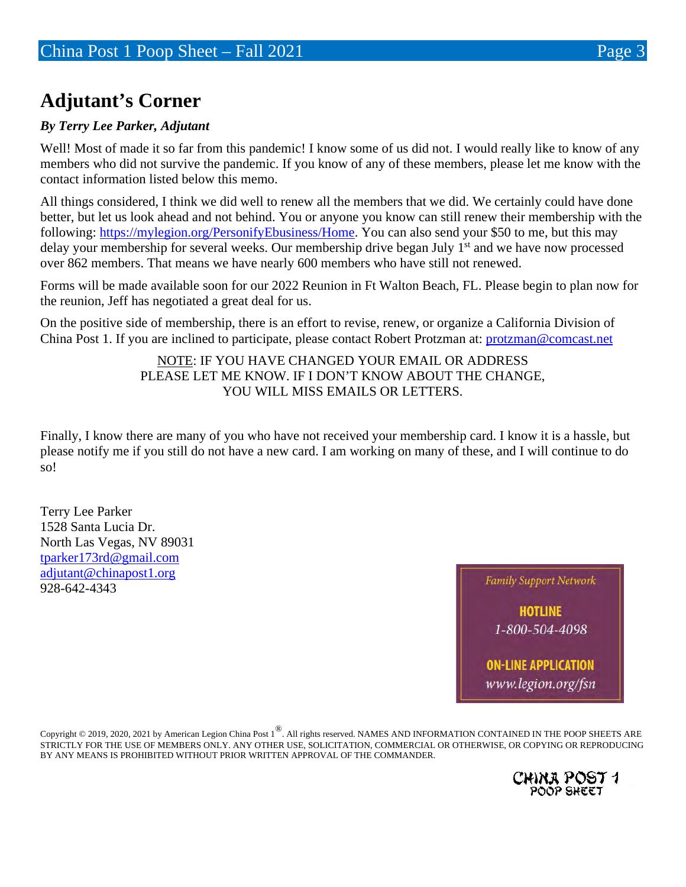## **Adjutant's Corner**

## *By Terry Lee Parker, Adjutant*

Well! Most of made it so far from this pandemic! I know some of us did not. I would really like to know of any members who did not survive the pandemic. If you know of any of these members, please let me know with the contact information listed below this memo.

All things considered, I think we did well to renew all the members that we did. We certainly could have done better, but let us look ahead and not behind. You or anyone you know can still renew their membership with the following: [https://mylegion.org/PersonifyEbusiness/Home.](https://mylegion.org/PersonifyEbusiness/Home) You can also send your \$50 to me, but this may delay your membership for several weeks. Our membership drive began July 1<sup>st</sup> and we have now processed over 862 members. That means we have nearly 600 members who have still not renewed.

Forms will be made available soon for our 2022 Reunion in Ft Walton Beach, FL. Please begin to plan now for the reunion, Jeff has negotiated a great deal for us.

On the positive side of membership, there is an effort to revise, renew, or organize a California Division of China Post 1. If you are inclined to participate, please contact Robert Protzman at: [protzman@comcast.net](mailto:protzman@comcast.net)

> NOTE: IF YOU HAVE CHANGED YOUR EMAIL OR ADDRESS PLEASE LET ME KNOW. IF I DON'T KNOW ABOUT THE CHANGE, YOU WILL MISS EMAILS OR LETTERS.

Finally, I know there are many of you who have not received your membership card. I know it is a hassle, but please notify me if you still do not have a new card. I am working on many of these, and I will continue to do so!

Terry Lee Parker 1528 Santa Lucia Dr. North Las Vegas, NV 89031 [tparker173rd@gmail.com](mailto:tparker173rd@gmail.com) [adjutant@chinapost1.org](mailto:adjutant@chinapost1.org) 928-642-4343

## **Family Support Network HOTLINE** 1-800-504-4098 **ON-LINE APPLICATION** www.legion.org/fsn

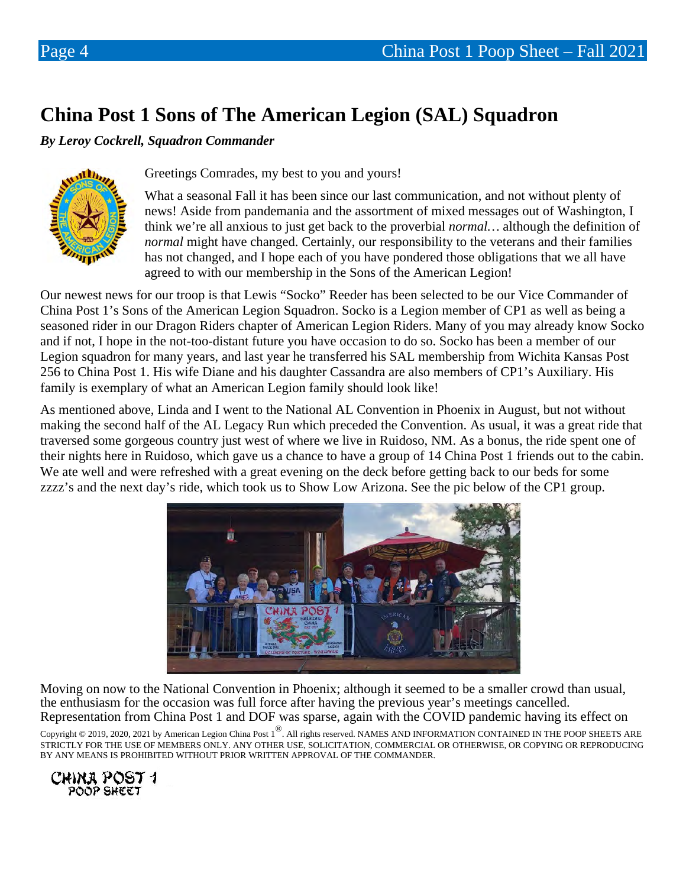## **China Post 1 Sons of The American Legion (SAL) Squadron**

*By Leroy Cockrell, Squadron Commander*



Greetings Comrades, my best to you and yours!

What a seasonal Fall it has been since our last communication, and not without plenty of news! Aside from pandemania and the assortment of mixed messages out of Washington, I think we're all anxious to just get back to the proverbial *normal…* although the definition of *normal* might have changed. Certainly, our responsibility to the veterans and their families has not changed, and I hope each of you have pondered those obligations that we all have agreed to with our membership in the Sons of the American Legion!

Our newest news for our troop is that Lewis "Socko" Reeder has been selected to be our Vice Commander of China Post 1's Sons of the American Legion Squadron. Socko is a Legion member of CP1 as well as being a seasoned rider in our Dragon Riders chapter of American Legion Riders. Many of you may already know Socko and if not, I hope in the not-too-distant future you have occasion to do so. Socko has been a member of our Legion squadron for many years, and last year he transferred his SAL membership from Wichita Kansas Post 256 to China Post 1. His wife Diane and his daughter Cassandra are also members of CP1's Auxiliary. His family is exemplary of what an American Legion family should look like!

As mentioned above, Linda and I went to the National AL Convention in Phoenix in August, but not without making the second half of the AL Legacy Run which preceded the Convention. As usual, it was a great ride that traversed some gorgeous country just west of where we live in Ruidoso, NM. As a bonus, the ride spent one of their nights here in Ruidoso, which gave us a chance to have a group of 14 China Post 1 friends out to the cabin. We ate well and were refreshed with a great evening on the deck before getting back to our beds for some zzzz's and the next day's ride, which took us to Show Low Arizona. See the pic below of the CP1 group.



Moving on now to the National Convention in Phoenix; although it seemed to be a smaller crowd than usual, the enthusiasm for the occasion was full force after having the previous year's meetings cancelled. Representation from China Post 1 and DOF was sparse, again with the COVID pandemic having its effect on

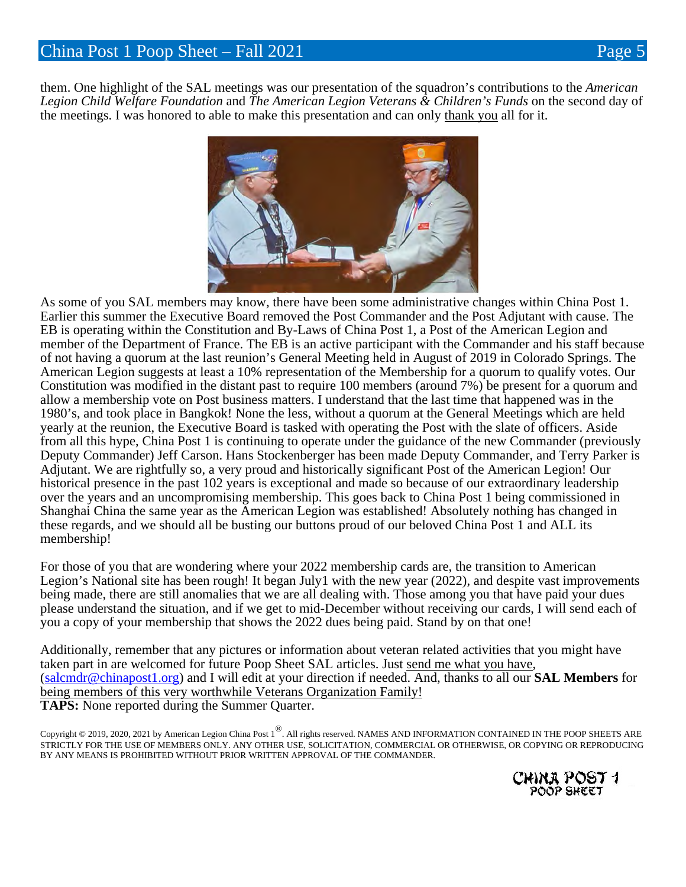them. One highlight of the SAL meetings was our presentation of the squadron's contributions to the *American Legion Child Welfare Foundation* and *The American Legion Veterans & Children's Funds* on the second day of the meetings. I was honored to able to make this presentation and can only thank you all for it.



As some of you SAL members may know, there have been some administrative changes within China Post 1. Earlier this summer the Executive Board removed the Post Commander and the Post Adjutant with cause. The EB is operating within the Constitution and By-Laws of China Post 1, a Post of the American Legion and member of the Department of France. The EB is an active participant with the Commander and his staff because of not having a quorum at the last reunion's General Meeting held in August of 2019 in Colorado Springs. The American Legion suggests at least a 10% representation of the Membership for a quorum to qualify votes. Our Constitution was modified in the distant past to require 100 members (around 7%) be present for a quorum and allow a membership vote on Post business matters. I understand that the last time that happened was in the 1980's, and took place in Bangkok! None the less, without a quorum at the General Meetings which are held yearly at the reunion, the Executive Board is tasked with operating the Post with the slate of officers. Aside from all this hype, China Post 1 is continuing to operate under the guidance of the new Commander (previously Deputy Commander) Jeff Carson. Hans Stockenberger has been made Deputy Commander, and Terry Parker is Adjutant. We are rightfully so, a very proud and historically significant Post of the American Legion! Our historical presence in the past 102 years is exceptional and made so because of our extraordinary leadership over the years and an uncompromising membership. This goes back to China Post 1 being commissioned in Shanghai China the same year as the American Legion was established! Absolutely nothing has changed in these regards, and we should all be busting our buttons proud of our beloved China Post 1 and ALL its membership!

For those of you that are wondering where your 2022 membership cards are, the transition to American Legion's National site has been rough! It began July1 with the new year (2022), and despite vast improvements being made, there are still anomalies that we are all dealing with. Those among you that have paid your dues please understand the situation, and if we get to mid-December without receiving our cards, I will send each of you a copy of your membership that shows the 2022 dues being paid. Stand by on that one!

Additionally, remember that any pictures or information about veteran related activities that you might have taken part in are welcomed for future Poop Sheet SAL articles. Just send me what you have, [\(salcmdr@chinapost1.org\)](mailto:salcmdr@chinapost1.org) and I will edit at your direction if needed. And, thanks to all our **SAL Members** for being members of this very worthwhile Veterans Organization Family! **TAPS:** None reported during the Summer Quarter.

Copyright © 2019, 2020, 2021 by American Legion China Post 1®. All rights reserved. NAMES AND INFORMATION CONTAINED IN THE POOP SHEETS ARE STRICTLY FOR THE USE OF MEMBERS ONLY. ANY OTHER USE, SOLICITATION, COMMERCIAL OR OTHERWISE, OR COPYING OR REPRODUCING BY ANY MEANS IS PROHIBITED WITHOUT PRIOR WRITTEN APPROVAL OF THE COMMANDER.



CHINA POST 1 POOP SHEET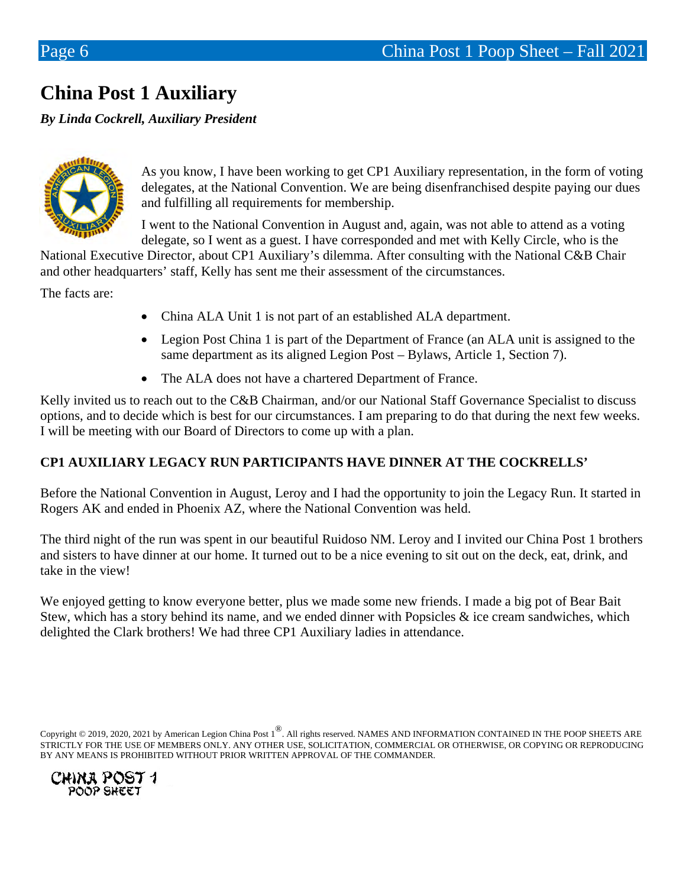## **China Post 1 Auxiliary**

*By Linda Cockrell, Auxiliary President*



As you know, I have been working to get CP1 Auxiliary representation, in the form of voting delegates, at the National Convention. We are being disenfranchised despite paying our dues and fulfilling all requirements for membership.

I went to the National Convention in August and, again, was not able to attend as a voting delegate, so I went as a guest. I have corresponded and met with Kelly Circle, who is the

National Executive Director, about CP1 Auxiliary's dilemma. After consulting with the National C&B Chair and other headquarters' staff, Kelly has sent me their assessment of the circumstances.

The facts are:

- China ALA Unit 1 is not part of an established ALA department.
- Legion Post China 1 is part of the Department of France (an ALA unit is assigned to the same department as its aligned Legion Post – Bylaws, Article 1, Section 7).
- The ALA does not have a chartered Department of France.

Kelly invited us to reach out to the C&B Chairman, and/or our National Staff Governance Specialist to discuss options, and to decide which is best for our circumstances. I am preparing to do that during the next few weeks. I will be meeting with our Board of Directors to come up with a plan.

## **CP1 AUXILIARY LEGACY RUN PARTICIPANTS HAVE DINNER AT THE COCKRELLS'**

Before the National Convention in August, Leroy and I had the opportunity to join the Legacy Run. It started in Rogers AK and ended in Phoenix AZ, where the National Convention was held.

The third night of the run was spent in our beautiful Ruidoso NM. Leroy and I invited our China Post 1 brothers and sisters to have dinner at our home. It turned out to be a nice evening to sit out on the deck, eat, drink, and take in the view!

We enjoyed getting to know everyone better, plus we made some new friends. I made a big pot of Bear Bait Stew, which has a story behind its name, and we ended dinner with Popsicles & ice cream sandwiches, which delighted the Clark brothers! We had three CP1 Auxiliary ladies in attendance.

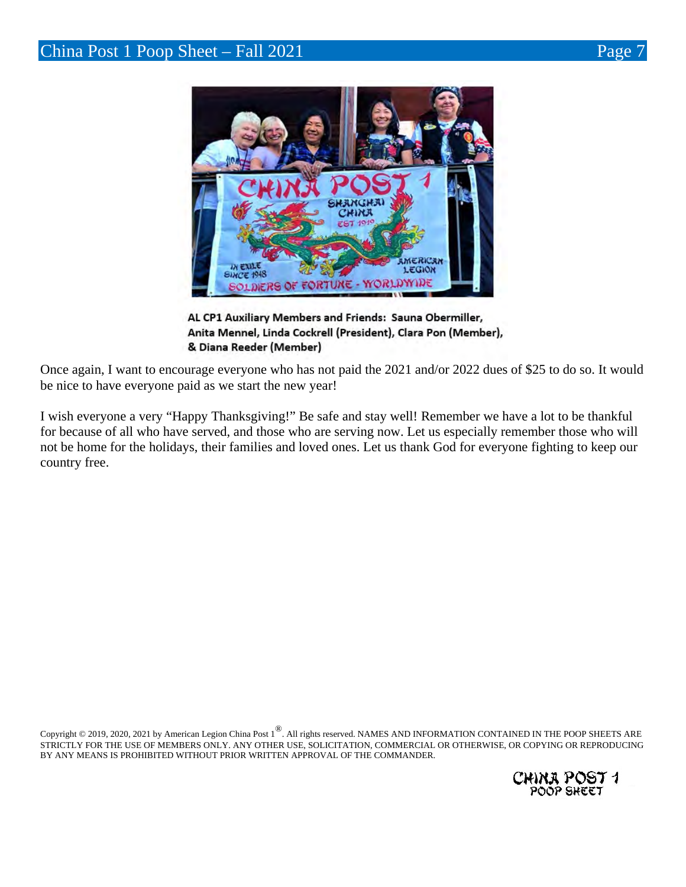

AL CP1 Auxiliary Members and Friends: Sauna Obermiller, Anita Mennel, Linda Cockrell (President), Clara Pon (Member), & Diana Reeder (Member)

Once again, I want to encourage everyone who has not paid the 2021 and/or 2022 dues of \$25 to do so. It would be nice to have everyone paid as we start the new year!

I wish everyone a very "Happy Thanksgiving!" Be safe and stay well! Remember we have a lot to be thankful for because of all who have served, and those who are serving now. Let us especially remember those who will not be home for the holidays, their families and loved ones. Let us thank God for everyone fighting to keep our country free.

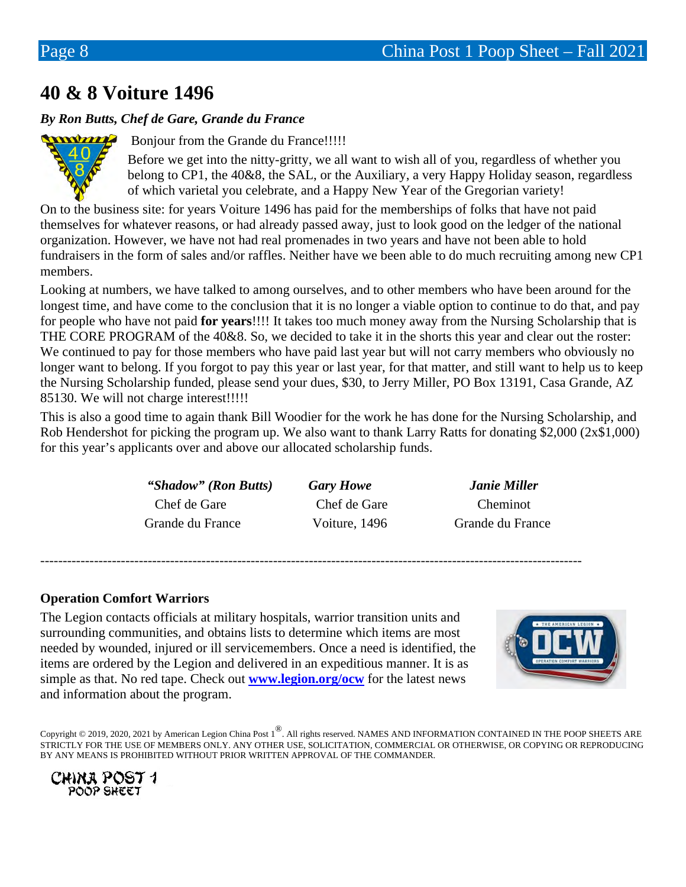## **40 & 8 Voiture 1496**

### *By Ron Butts, Chef de Gare, Grande du France*



Bonjour from the Grande du France!!!!!

Before we get into the nitty-gritty, we all want to wish all of you, regardless of whether you belong to CP1, the 40&8, the SAL, or the Auxiliary, a very Happy Holiday season, regardless of which varietal you celebrate, and a Happy New Year of the Gregorian variety!

On to the business site: for years Voiture 1496 has paid for the memberships of folks that have not paid themselves for whatever reasons, or had already passed away, just to look good on the ledger of the national organization. However, we have not had real promenades in two years and have not been able to hold fundraisers in the form of sales and/or raffles. Neither have we been able to do much recruiting among new CP1 members.

Looking at numbers, we have talked to among ourselves, and to other members who have been around for the longest time, and have come to the conclusion that it is no longer a viable option to continue to do that, and pay for people who have not paid **for years**!!!! It takes too much money away from the Nursing Scholarship that is THE CORE PROGRAM of the 40&8. So, we decided to take it in the shorts this year and clear out the roster: We continued to pay for those members who have paid last year but will not carry members who obviously no longer want to belong. If you forgot to pay this year or last year, for that matter, and still want to help us to keep the Nursing Scholarship funded, please send your dues, \$30, to Jerry Miller, PO Box 13191, Casa Grande, AZ 85130. We will not charge interest!!!!!

This is also a good time to again thank Bill Woodier for the work he has done for the Nursing Scholarship, and Rob Hendershot for picking the program up. We also want to thank Larry Ratts for donating \$2,000 (2x\$1,000) for this year's applicants over and above our allocated scholarship funds.

> *"Shadow" (Ron Butts) Gary Howe Janie Miller* Chef de Gare Chef de Gare Cheminot Grande du France Voiture, 1496 Grande du France

-------------------------------------------------------------------------------------------------------------------------

### **Operation Comfort Warriors**

The Legion contacts officials at military hospitals, warrior transition units and surrounding communities, and obtains lists to determine which items are most needed by wounded, injured or ill servicemembers. Once a need is identified, the items are ordered by the Legion and delivered in an expeditious manner. It is as simple as that. No red tape. Check out **www.legion.org/ocw** for the latest news and information about the program.



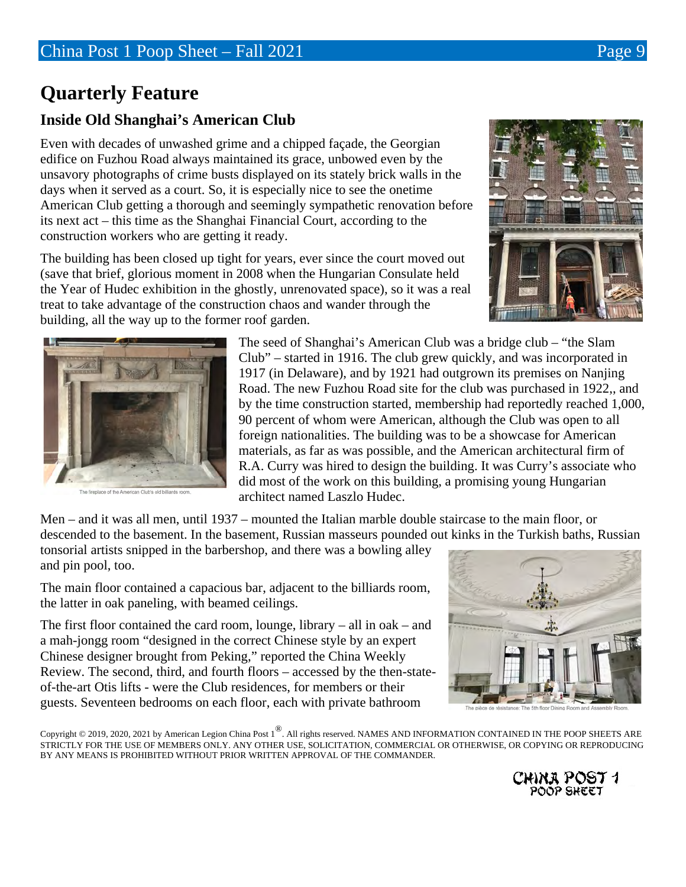## **Quarterly Feature**

## **Inside Old Shanghai's American Club**

Even with decades of unwashed grime and a chipped façade, the Georgian edifice on Fuzhou Road always maintained its grace, unbowed even by the unsavory photographs of crime busts displayed on its stately brick walls in the days when it served as a court. So, it is especially nice to see the onetime American Club getting a thorough and seemingly sympathetic renovation before its next act – this time as the Shanghai Financial Court, according to the construction workers who are getting it ready.

The building has been closed up tight for years, ever since the court moved out (save that brief, glorious moment in 2008 when the Hungarian Consulate held the Year of Hudec exhibition in the ghostly, unrenovated space), so it was a real treat to take advantage of the construction chaos and wander through the building, all the way up to the former roof garden.





The fireplace of the American Club's old billiards room

The seed of Shanghai's American Club was a bridge club – "the Slam Club" – started in 1916. The club grew quickly, and was incorporated in 1917 (in Delaware), and by 1921 had outgrown its premises on Nanjing Road. The new Fuzhou Road site for the club was purchased in 1922,, and by the time construction started, membership had reportedly reached 1,000, 90 percent of whom were American, although the Club was open to all foreign nationalities. The building was to be a showcase for American materials, as far as was possible, and the American architectural firm of R.A. Curry was hired to design the building. It was Curry's associate who did most of the work on this building, a promising young Hungarian architect named Laszlo Hudec.

Men – and it was all men, until 1937 – mounted the Italian marble double staircase to the main floor, or descended to the basement. In the basement, Russian masseurs pounded out kinks in the Turkish baths, Russian tonsorial artists snipped in the barbershop, and there was a bowling alley and pin pool, too.

The main floor contained a capacious bar, adjacent to the billiards room, the latter in oak paneling, with beamed ceilings.

The first floor contained the card room, lounge, library – all in oak – and a mah-jongg room "designed in the correct Chinese style by an expert Chinese designer brought from Peking," reported the China Weekly Review. The second, third, and fourth floors – accessed by the then-stateof-the-art Otis lifts - were the Club residences, for members or their guests. Seventeen bedrooms on each floor, each with private bathroom



Copyright © 2019, 2020, 2021 by American Legion China Post 1®. All rights reserved. NAMES AND INFORMATION CONTAINED IN THE POOP SHEETS ARE STRICTLY FOR THE USE OF MEMBERS ONLY. ANY OTHER USE, SOLICITATION, COMMERCIAL OR OTHERWISE, OR COPYING OR REPRODUCING BY ANY MEANS IS PROHIBITED WITHOUT PRIOR WRITTEN APPROVAL OF THE COMMANDER.

> CHINA POST 1 POOP SHEET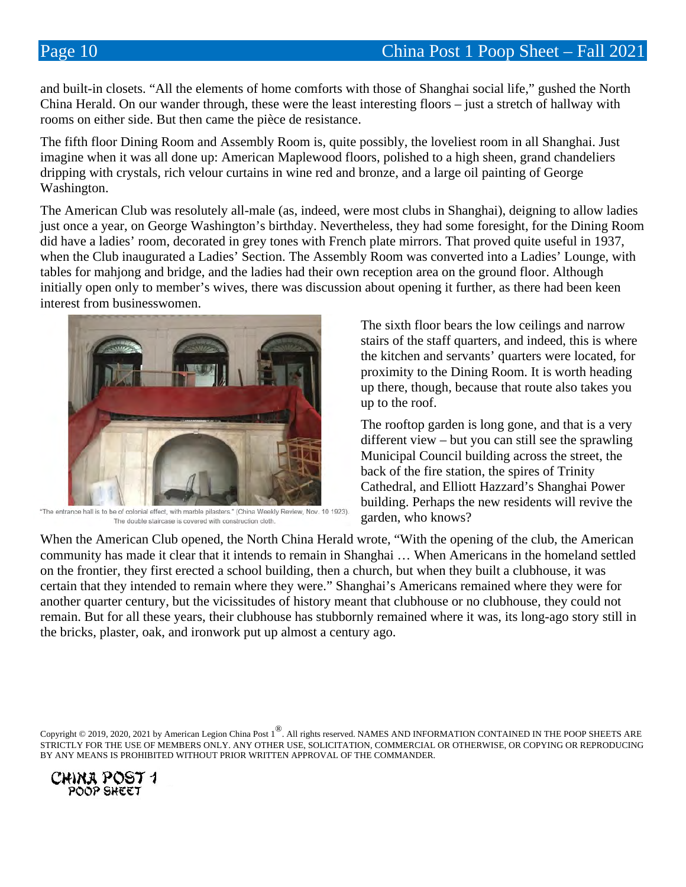and built-in closets. "All the elements of home comforts with those of Shanghai social life," gushed the North China Herald. On our wander through, these were the least interesting floors – just a stretch of hallway with rooms on either side. But then came the pièce de resistance.

The fifth floor Dining Room and Assembly Room is, quite possibly, the loveliest room in all Shanghai. Just imagine when it was all done up: American Maplewood floors, polished to a high sheen, grand chandeliers dripping with crystals, rich velour curtains in wine red and bronze, and a large oil painting of George Washington.

The American Club was resolutely all-male (as, indeed, were most clubs in Shanghai), deigning to allow ladies just once a year, on George Washington's birthday. Nevertheless, they had some foresight, for the Dining Room did have a ladies' room, decorated in grey tones with French plate mirrors. That proved quite useful in 1937, when the Club inaugurated a Ladies' Section. The Assembly Room was converted into a Ladies' Lounge, with tables for mahjong and bridge, and the ladies had their own reception area on the ground floor. Although initially open only to member's wives, there was discussion about opening it further, as there had been keen interest from businesswomen.



"The entrance hall is to be of colonial effect, with marble pilasters." (China Weekly Review, Nov. 10 1923) The double staircase is covered with construction cloth.

The sixth floor bears the low ceilings and narrow stairs of the staff quarters, and indeed, this is where the kitchen and servants' quarters were located, for proximity to the Dining Room. It is worth heading up there, though, because that route also takes you up to the roof.

The rooftop garden is long gone, and that is a very different view – but you can still see the sprawling Municipal Council building across the street, the back of the fire station, the spires of Trinity Cathedral, and Elliott Hazzard's Shanghai Power building. Perhaps the new residents will revive the garden, who knows?

When the American Club opened, the North China Herald wrote, "With the opening of the club, the American community has made it clear that it intends to remain in Shanghai … When Americans in the homeland settled on the frontier, they first erected a school building, then a church, but when they built a clubhouse, it was certain that they intended to remain where they were." Shanghai's Americans remained where they were for another quarter century, but the vicissitudes of history meant that clubhouse or no clubhouse, they could not remain. But for all these years, their clubhouse has stubbornly remained where it was, its long-ago story still in the bricks, plaster, oak, and ironwork put up almost a century ago.

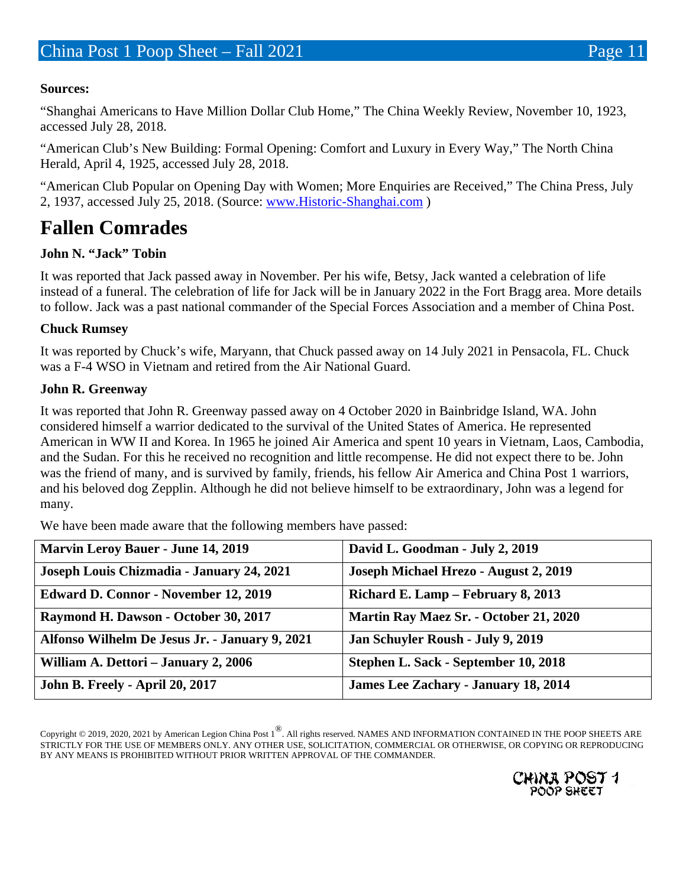### **Sources:**

"Shanghai Americans to Have Million Dollar Club Home," The China Weekly Review, November 10, 1923, accessed July 28, 2018.

"American Club's New Building: Formal Opening: Comfort and Luxury in Every Way," The North China Herald, April 4, 1925, accessed July 28, 2018.

"American Club Popular on Opening Day with Women; More Enquiries are Received," The China Press, July 2, 1937, accessed July 25, 2018. (Source: [www.Historic-Shanghai.com](http://www.historic-shanghai.com/) )

## **Fallen Comrades**

### **John N. "Jack" Tobin**

It was reported that Jack passed away in November. Per his wife, Betsy, Jack wanted a celebration of life instead of a funeral. The celebration of life for Jack will be in January 2022 in the Fort Bragg area. More details to follow. Jack was a past national commander of the Special Forces Association and a member of China Post.

### **Chuck Rumsey**

It was reported by Chuck's wife, Maryann, that Chuck passed away on 14 July 2021 in Pensacola, FL. Chuck was a F-4 WSO in Vietnam and retired from the Air National Guard.

### **John R. Greenway**

It was reported that John R. Greenway passed away on 4 October 2020 in Bainbridge Island, WA. John considered himself a warrior dedicated to the survival of the United States of America. He represented American in WW II and Korea. In 1965 he joined Air America and spent 10 years in Vietnam, Laos, Cambodia, and the Sudan. For this he received no recognition and little recompense. He did not expect there to be. John was the friend of many, and is survived by family, friends, his fellow Air America and China Post 1 warriors, and his beloved dog Zepplin. Although he did not believe himself to be extraordinary, John was a legend for many.

We have been made aware that the following members have passed:

| <b>Marvin Leroy Bauer - June 14, 2019</b>      | David L. Goodman - July 2, 2019        |
|------------------------------------------------|----------------------------------------|
| Joseph Louis Chizmadia - January 24, 2021      | Joseph Michael Hrezo - August 2, 2019  |
| <b>Edward D. Connor - November 12, 2019</b>    | Richard E. Lamp – February 8, 2013     |
| Raymond H. Dawson - October 30, 2017           | Martin Ray Maez Sr. - October 21, 2020 |
| Alfonso Wilhelm De Jesus Jr. - January 9, 2021 | Jan Schuyler Roush - July 9, 2019      |
| William A. Dettori - January 2, 2006           | Stephen L. Sack - September 10, 2018   |
| John B. Freely - April 20, 2017                | James Lee Zachary - January 18, 2014   |



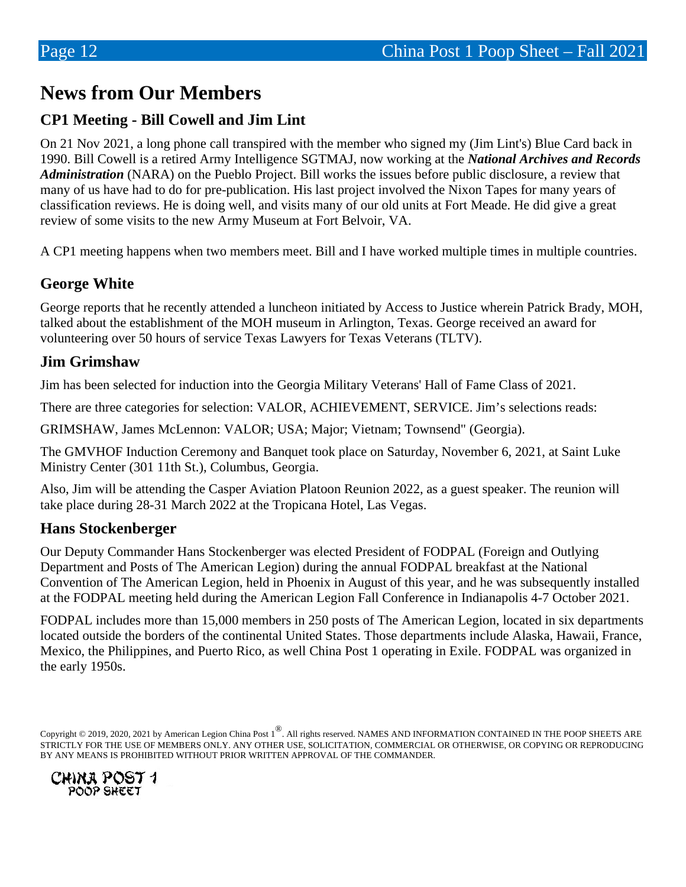## **News from Our Members**

## **CP1 Meeting - Bill Cowell and Jim Lint**

On 21 Nov 2021, a long phone call transpired with the member who signed my (Jim Lint's) Blue Card back in 1990. Bill Cowell is a retired Army Intelligence SGTMAJ, now working at the *National Archives and Records Administration* (NARA) on the Pueblo Project. Bill works the issues before public disclosure, a review that many of us have had to do for pre-publication. His last project involved the Nixon Tapes for many years of classification reviews. He is doing well, and visits many of our old units at Fort Meade. He did give a great review of some visits to the new Army Museum at Fort Belvoir, VA.

A CP1 meeting happens when two members meet. Bill and I have worked multiple times in multiple countries.

## **George White**

George reports that he recently attended a luncheon initiated by Access to Justice wherein Patrick Brady, MOH, talked about the establishment of the MOH museum in Arlington, Texas. George received an award for volunteering over 50 hours of service Texas Lawyers for Texas Veterans (TLTV).

## **Jim Grimshaw**

Jim has been selected for induction into the Georgia Military Veterans' Hall of Fame Class of 2021.

There are three categories for selection: VALOR, ACHIEVEMENT, SERVICE. Jim's selections reads:

GRIMSHAW, James McLennon: VALOR; USA; Major; Vietnam; Townsend" (Georgia).

The GMVHOF Induction Ceremony and Banquet took place on Saturday, November 6, 2021, at Saint Luke Ministry Center (301 11th St.), Columbus, Georgia.

Also, Jim will be attending the Casper Aviation Platoon Reunion 2022, as a guest speaker. The reunion will take place during 28-31 March 2022 at the Tropicana Hotel, Las Vegas.

## **Hans Stockenberger**

Our Deputy Commander Hans Stockenberger was elected President of FODPAL (Foreign and Outlying Department and Posts of The American Legion) during the annual FODPAL breakfast at the National Convention of The American Legion, held in Phoenix in August of this year, and he was subsequently installed at the FODPAL meeting held during the American Legion Fall Conference in Indianapolis 4-7 October 2021.

FODPAL includes more than 15,000 members in 250 posts of The American Legion, located in six departments located outside the borders of the continental United States. Those departments include Alaska, Hawaii, France, Mexico, the Philippines, and Puerto Rico, as well China Post 1 operating in Exile. FODPAL was organized in the early 1950s.

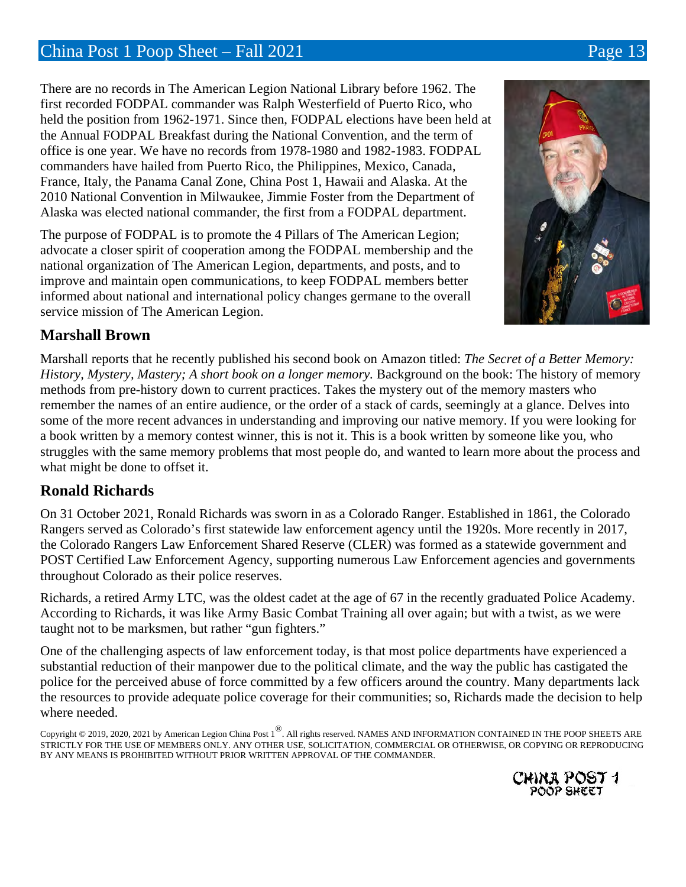## China Post 1 Poop Sheet – Fall 2021 Page 13 Page 13 Page 13 Page 13 Page 13 Page 13 Page 13 Page 13 Page 13 Page 13 Page 13 Page 13 Page 13 Page 13 Page 13 Page 13 Page 13 Page 13 Page 13 Page 13 Page 13 Page 13 Page 13 Pa

There are no records in The American Legion National Library before 1962. The first recorded FODPAL commander was Ralph Westerfield of Puerto Rico, who held the position from 1962-1971. Since then, FODPAL elections have been held at the Annual FODPAL Breakfast during the National Convention, and the term of office is one year. We have no records from 1978-1980 and 1982-1983. FODPAL commanders have hailed from Puerto Rico, the Philippines, Mexico, Canada, France, Italy, the Panama Canal Zone, China Post 1, Hawaii and Alaska. At the 2010 National Convention in Milwaukee, Jimmie Foster from the Department of Alaska was elected national commander, the first from a FODPAL department.

The purpose of FODPAL is to promote the 4 Pillars of The American Legion; advocate a closer spirit of cooperation among the FODPAL membership and the national organization of The American Legion, departments, and posts, and to improve and maintain open communications, to keep FODPAL members better informed about national and international policy changes germane to the overall service mission of The American Legion.



## **Marshall Brown**

Marshall reports that he recently published his second book on Amazon titled: *The Secret of a Better Memory: History, Mystery, Mastery; A short book on a longer memory.* Background on the book: The history of memory methods from pre-history down to current practices. Takes the mystery out of the memory masters who remember the names of an entire audience, or the order of a stack of cards, seemingly at a glance. Delves into some of the more recent advances in understanding and improving our native memory. If you were looking for a book written by a memory contest winner, this is not it. This is a book written by someone like you, who struggles with the same memory problems that most people do, and wanted to learn more about the process and what might be done to offset it.

## **Ronald Richards**

On 31 October 2021, Ronald Richards was sworn in as a Colorado Ranger. Established in 1861, the Colorado Rangers served as Colorado's first statewide law enforcement agency until the 1920s. More recently in 2017, the Colorado Rangers Law Enforcement Shared Reserve (CLER) was formed as a statewide government and POST Certified Law Enforcement Agency, supporting numerous Law Enforcement agencies and governments throughout Colorado as their police reserves.

Richards, a retired Army LTC, was the oldest cadet at the age of 67 in the recently graduated Police Academy. According to Richards, it was like Army Basic Combat Training all over again; but with a twist, as we were taught not to be marksmen, but rather "gun fighters."

One of the challenging aspects of law enforcement today, is that most police departments have experienced a substantial reduction of their manpower due to the political climate, and the way the public has castigated the police for the perceived abuse of force committed by a few officers around the country. Many departments lack the resources to provide adequate police coverage for their communities; so, Richards made the decision to help where needed.

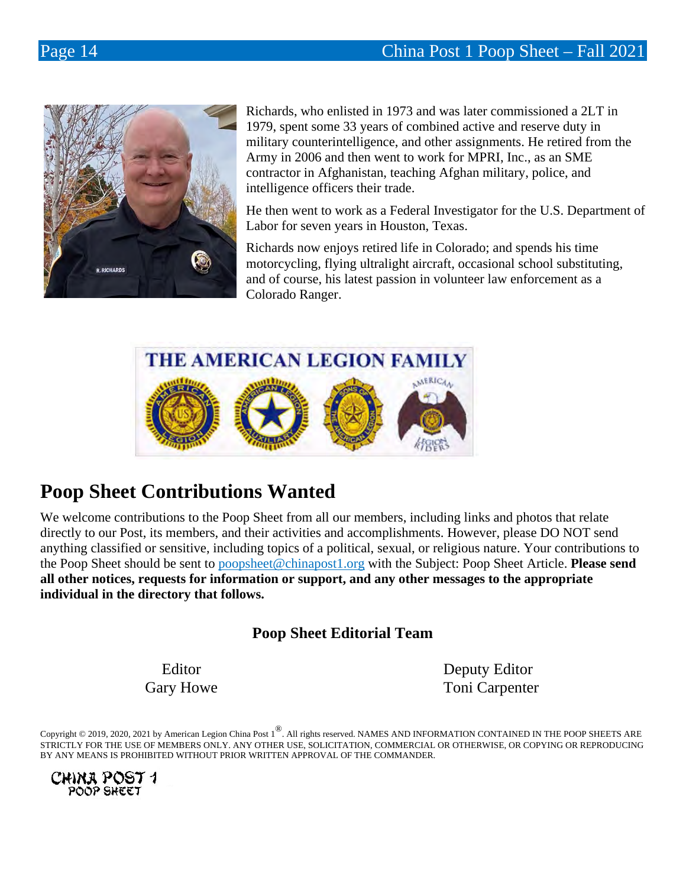

Richards, who enlisted in 1973 and was later commissioned a 2LT in 1979, spent some 33 years of combined active and reserve duty in military counterintelligence, and other assignments. He retired from the Army in 2006 and then went to work for MPRI, Inc., as an SME contractor in Afghanistan, teaching Afghan military, police, and intelligence officers their trade.

He then went to work as a Federal Investigator for the U.S. Department of Labor for seven years in Houston, Texas.

Richards now enjoys retired life in Colorado; and spends his time motorcycling, flying ultralight aircraft, occasional school substituting, and of course, his latest passion in volunteer law enforcement as a Colorado Ranger.



## **Poop Sheet Contributions Wanted**

We welcome contributions to the Poop Sheet from all our members, including links and photos that relate directly to our Post, its members, and their activities and accomplishments. However, please DO NOT send anything classified or sensitive, including topics of a political, sexual, or religious nature. Your contributions to the Poop Sheet should be sent to poopsheet@chinapost1.org with the Subject: Poop Sheet Article. **Please send all other notices, requests for information or support, and any other messages to the appropriate individual in the directory that follows.**

## **Poop Sheet Editorial Team**

Editor Deputy Editor Gary Howe Toni Carpenter